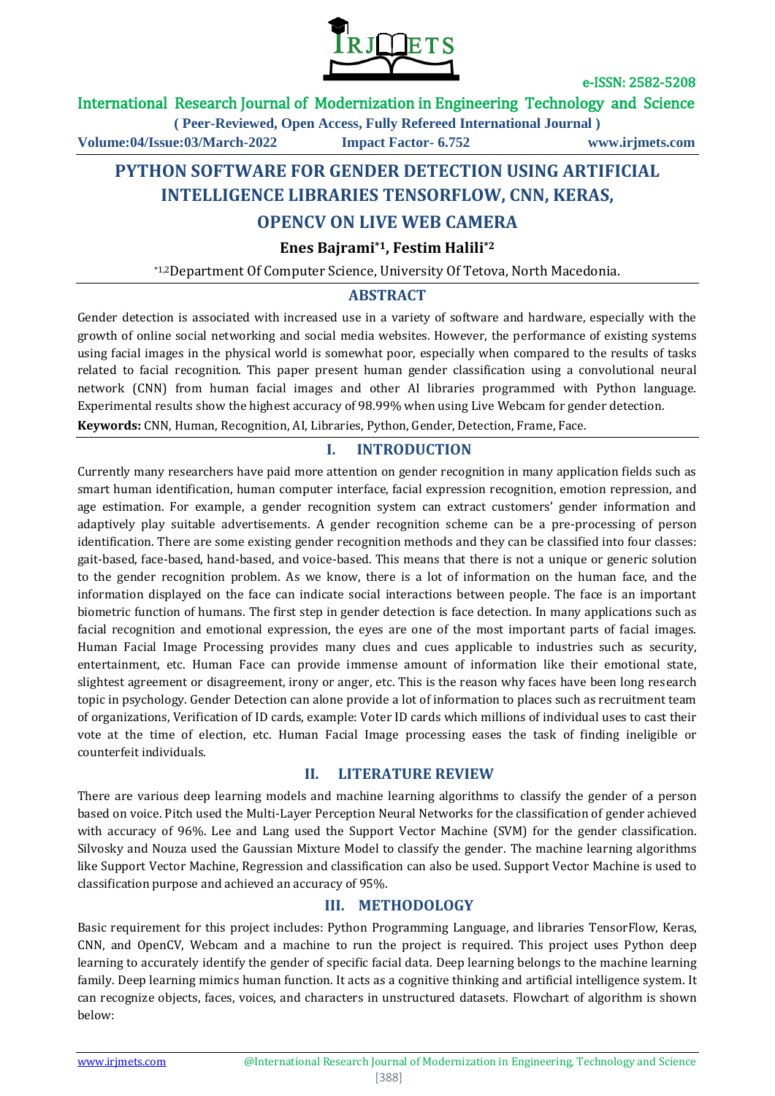

#### International Research Journal of Modernization in Engineering Technology and Science

**( Peer-Reviewed, Open Access, Fully Refereed International Journal ) Volume:04/Issue:03/March-2022 Impact Factor- 6.752 www.irjmets.com**

# **PYTHON SOFTWARE FOR GENDER DETECTION USING ARTIFICIAL INTELLIGENCE LIBRARIES TENSORFLOW, CNN, KERAS,**

# **OPENCV ON LIVE WEB CAMERA**

**Enes Bajrami\*1, Festim Halili\*2**

\*1,2Department Of Computer Science, University Of Tetova, North Macedonia.

### **ABSTRACT**

Gender detection is associated with increased use in a variety of software and hardware, especially with the growth of online social networking and social media websites. However, the performance of existing systems using facial images in the physical world is somewhat poor, especially when compared to the results of tasks related to facial recognition. This paper present human gender classification using a convolutional neural network (CNN) from human facial images and other AI libraries programmed with Python language. Experimental results show the highest accuracy of 98.99% when using Live Webcam for gender detection.

**Keywords:** CNN, Human, Recognition, AI, Libraries, Python, Gender, Detection, Frame, Face.

### **I. INTRODUCTION**

Currently many researchers have paid more attention on gender recognition in many application fields such as smart human identification, human computer interface, facial expression recognition, emotion repression, and age estimation. For example, a gender recognition system can extract customers' gender information and adaptively play suitable advertisements. A gender recognition scheme can be a pre-processing of person identification. There are some existing gender recognition methods and they can be classified into four classes: gait-based, face-based, hand-based, and voice-based. This means that there is not a unique or generic solution to the gender recognition problem. As we know, there is a lot of information on the human face, and the information displayed on the face can indicate social interactions between people. The face is an important biometric function of humans. The first step in gender detection is face detection. In many applications such as facial recognition and emotional expression, the eyes are one of the most important parts of facial images. Human Facial Image Processing provides many clues and cues applicable to industries such as security, entertainment, etc. Human Face can provide immense amount of information like their emotional state, slightest agreement or disagreement, irony or anger, etc. This is the reason why faces have been long research topic in psychology. Gender Detection can alone provide a lot of information to places such as recruitment team of organizations, Verification of ID cards, example: Voter ID cards which millions of individual uses to cast their vote at the time of election, etc. Human Facial Image processing eases the task of finding ineligible or counterfeit individuals.

#### **II. LITERATURE REVIEW**

There are various deep learning models and machine learning algorithms to classify the gender of a person based on voice. Pitch used the Multi-Layer Perception Neural Networks for the classification of gender achieved with accuracy of 96%. Lee and Lang used the Support Vector Machine (SVM) for the gender classification. Silvosky and Nouza used the Gaussian Mixture Model to classify the gender. The machine learning algorithms like Support Vector Machine, Regression and classification can also be used. Support Vector Machine is used to classification purpose and achieved an accuracy of 95%.

#### **III. METHODOLOGY**

Basic requirement for this project includes: Python Programming Language, and libraries TensorFlow, Keras, CNN, and OpenCV, Webcam and a machine to run the project is required. This project uses Python deep learning to accurately identify the gender of specific facial data. Deep learning belongs to the machine learning family. Deep learning mimics human function. It acts as a cognitive thinking and artificial intelligence system. It can recognize objects, faces, voices, and characters in unstructured datasets. Flowchart of algorithm is shown below: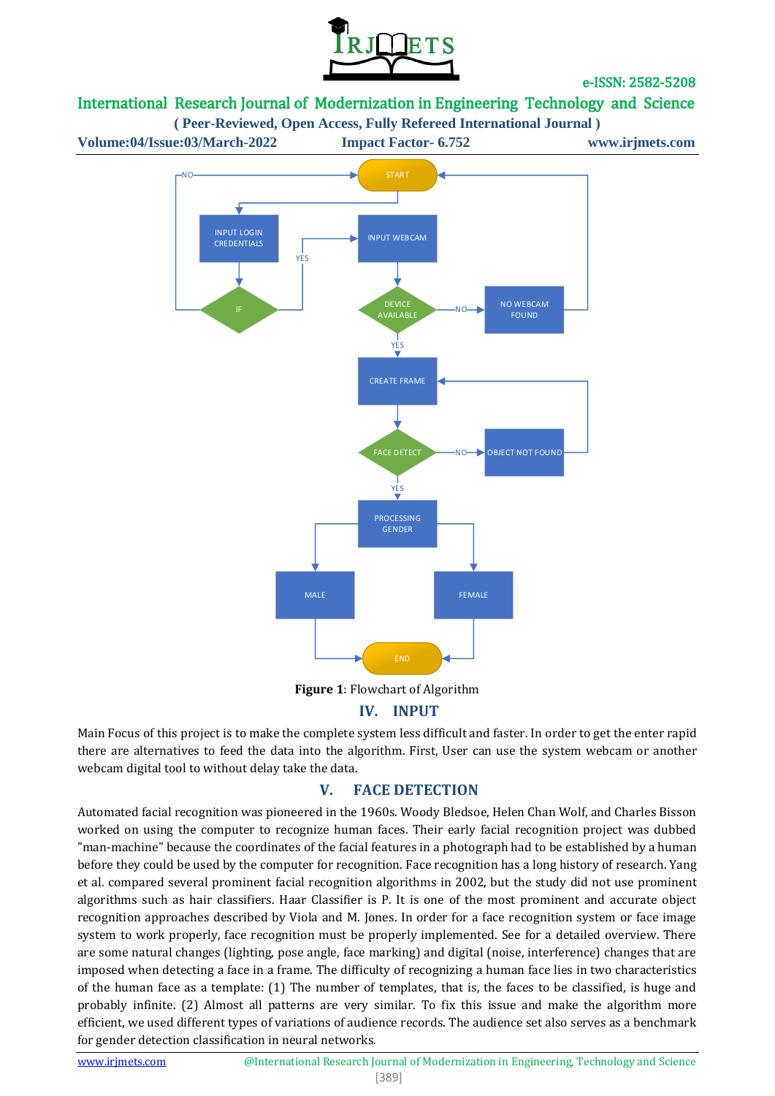

# International Research Journal of Modernization in Engineering Technology and Science

**( Peer-Reviewed, Open Access, Fully Refereed International Journal )**



**Figure 1**: Flowchart of Algorithm

# **IV. INPUT**

Main Focus of this project is to make the complete system less difficult and faster. In order to get the enter rapid there are alternatives to feed the data into the algorithm. First, User can use the system webcam or another webcam digital tool to without delay take the data.

### **V. FACE DETECTION**

Automated facial recognition was pioneered in the 1960s. Woody Bledsoe, Helen Chan Wolf, and Charles Bisson worked on using the computer to recognize human faces. Their early facial recognition project was dubbed "man-machine" because the coordinates of the facial features in a photograph had to be established by a human before they could be used by the computer for recognition. Face recognition has a long history of research. Yang et al. compared several prominent facial recognition algorithms in 2002, but the study did not use prominent algorithms such as hair classifiers. Haar Classifier is P. It is one of the most prominent and accurate object recognition approaches described by Viola and M. Jones. In order for a face recognition system or face image system to work properly, face recognition must be properly implemented. See for a detailed overview. There are some natural changes (lighting, pose angle, face marking) and digital (noise, interference) changes that are imposed when detecting a face in a frame. The difficulty of recognizing a human face lies in two characteristics of the human face as a template: (1) The number of templates, that is, the faces to be classified, is huge and probably infinite. (2) Almost all patterns are very similar. To fix this issue and make the algorithm more efficient, we used different types of variations of audience records. The audience set also serves as a benchmark for gender detection classification in neural networks.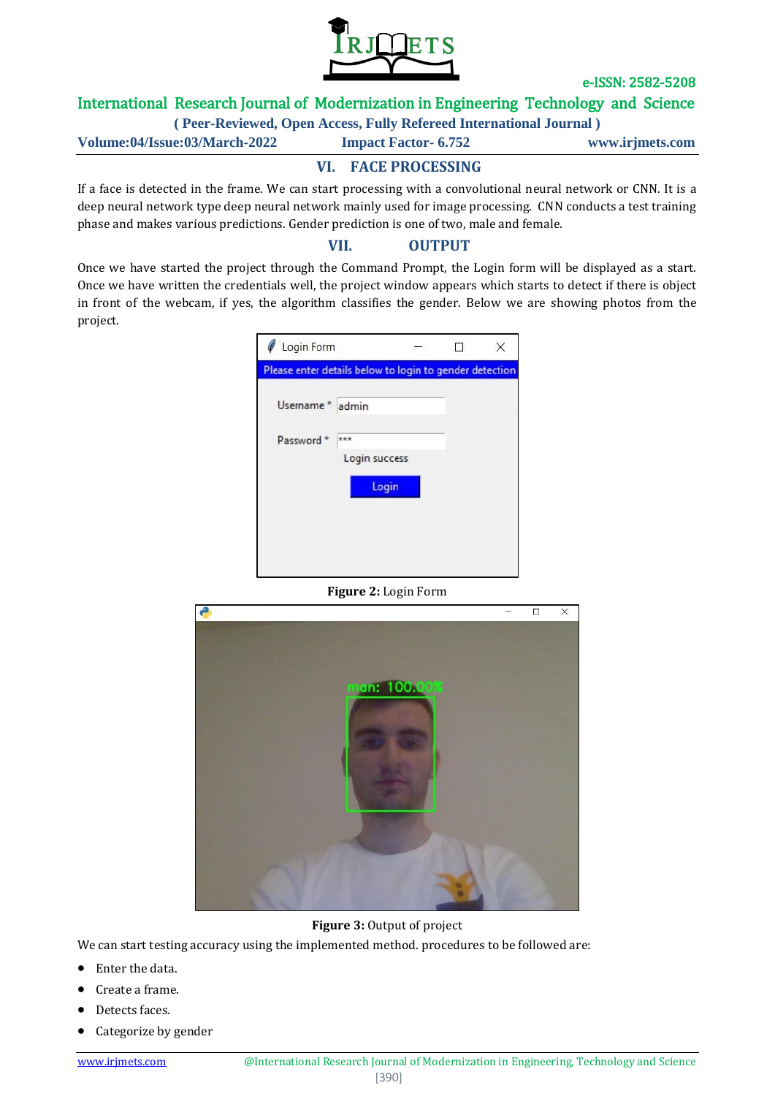

## International Research Journal of Modernization in Engineering Technology and Science

**( Peer-Reviewed, Open Access, Fully Refereed International Journal )**

**Volume:04/Issue:03/March-2022 Impact Factor- 6.752 www.irjmets.com**

# **VI. FACE PROCESSING**

If a face is detected in the frame. We can start processing with a convolutional neural network or CNN. It is a deep neural network type deep neural network mainly used for image processing. CNN conducts a test training phase and makes various predictions. Gender prediction is one of two, male and female.

#### **VII. OUTPUT**

Once we have started the project through the Command Prompt, the Login form will be displayed as a start. Once we have written the credentials well, the project window appears which starts to detect if there is object in front of the webcam, if yes, the algorithm classifies the gender. Below we are showing photos from the project.

|                  | Please enter details below to login to gender detection |  |  |
|------------------|---------------------------------------------------------|--|--|
| Username * admin |                                                         |  |  |
| Password *       | ***                                                     |  |  |
|                  | Login success                                           |  |  |
|                  | Login                                                   |  |  |
|                  |                                                         |  |  |

#### **Figure 2:** Login Form



**Figure 3:** Output of project

We can start testing accuracy using the implemented method. procedures to be followed are:

- Enter the data.
- Create a frame.
- Detects faces.
- Categorize by gender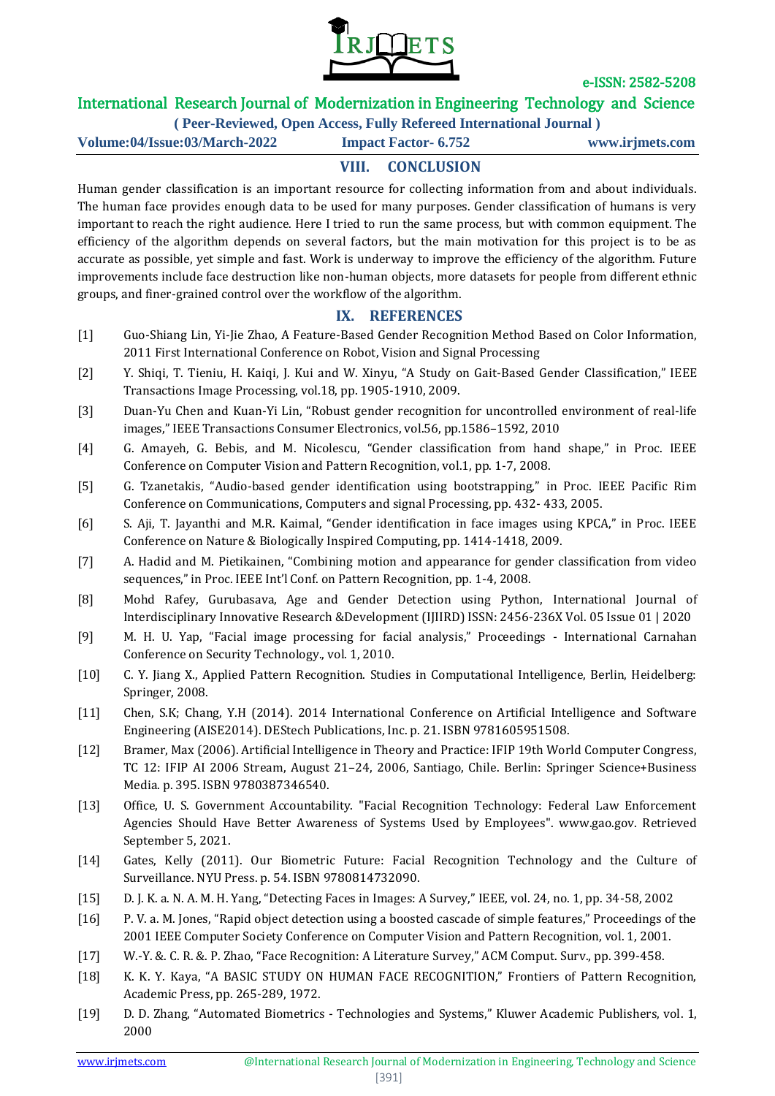

## International Research Journal of Modernization in Engineering Technology and Science

**( Peer-Reviewed, Open Access, Fully Refereed International Journal )**

**Volume:04/Issue:03/March-2022 Impact Factor- 6.752 www.irjmets.com**

# **VIII. CONCLUSION**

Human gender classification is an important resource for collecting information from and about individuals. The human face provides enough data to be used for many purposes. Gender classification of humans is very important to reach the right audience. Here I tried to run the same process, but with common equipment. The efficiency of the algorithm depends on several factors, but the main motivation for this project is to be as accurate as possible, yet simple and fast. Work is underway to improve the efficiency of the algorithm. Future improvements include face destruction like non-human objects, more datasets for people from different ethnic groups, and finer-grained control over the workflow of the algorithm.

#### **IX. REFERENCES**

- [1] Guo-Shiang Lin, Yi-Jie Zhao, A Feature-Based Gender Recognition Method Based on Color Information, 2011 First International Conference on Robot, Vision and Signal Processing
- [2] Y. Shiqi, T. Tieniu, H. Kaiqi, J. Kui and W. Xinyu, "A Study on Gait-Based Gender Classification," IEEE Transactions Image Processing, vol.18, pp. 1905-1910, 2009.
- [3] Duan-Yu Chen and Kuan-Yi Lin, "Robust gender recognition for uncontrolled environment of real-life images," IEEE Transactions Consumer Electronics, vol.56, pp.1586–1592, 2010
- [4] G. Amayeh, G. Bebis, and M. Nicolescu, "Gender classification from hand shape," in Proc. IEEE Conference on Computer Vision and Pattern Recognition, vol.1, pp. 1-7, 2008.
- [5] G. Tzanetakis, "Audio-based gender identification using bootstrapping," in Proc. IEEE Pacific Rim Conference on Communications, Computers and signal Processing, pp. 432- 433, 2005.
- [6] S. Aji, T. Jayanthi and M.R. Kaimal, "Gender identification in face images using KPCA," in Proc. IEEE Conference on Nature & Biologically Inspired Computing, pp. 1414-1418, 2009.
- [7] A. Hadid and M. Pietikainen, "Combining motion and appearance for gender classification from video sequences," in Proc. IEEE Int'l Conf. on Pattern Recognition, pp. 1-4, 2008.
- [8] Mohd Rafey, Gurubasava, Age and Gender Detection using Python, International Journal of Interdisciplinary Innovative Research &Development (IJIIRD) ISSN: 2456-236X Vol. 05 Issue 01 | 2020
- [9] M. H. U. Yap, "Facial image processing for facial analysis," Proceedings International Carnahan Conference on Security Technology., vol. 1, 2010.
- [10] C. Y. Jiang X., Applied Pattern Recognition. Studies in Computational Intelligence, Berlin, Heidelberg: Springer, 2008.
- [11] Chen, S.K; Chang, Y.H (2014). 2014 International Conference on Artificial Intelligence and Software Engineering (AISE2014). DEStech Publications, Inc. p. 21. ISBN 9781605951508.
- [12] Bramer, Max (2006). Artificial Intelligence in Theory and Practice: IFIP 19th World Computer Congress, TC 12: IFIP AI 2006 Stream, August 21–24, 2006, Santiago, Chile. Berlin: Springer Science+Business Media. p. 395. ISBN 9780387346540.
- [13] Office, U. S. Government Accountability. "Facial Recognition Technology: Federal Law Enforcement Agencies Should Have Better Awareness of Systems Used by Employees". www.gao.gov. Retrieved September 5, 2021.
- [14] Gates, Kelly (2011). Our Biometric Future: Facial Recognition Technology and the Culture of Surveillance. NYU Press. p. 54. ISBN 9780814732090.
- [15] D. J. K. a. N. A. M. H. Yang, "Detecting Faces in Images: A Survey," IEEE, vol. 24, no. 1, pp. 34-58, 2002
- [16] P. V. a. M. Jones, "Rapid object detection using a boosted cascade of simple features," Proceedings of the 2001 IEEE Computer Society Conference on Computer Vision and Pattern Recognition, vol. 1, 2001.
- [17] W.-Y. &. C. R. &. P. Zhao, "Face Recognition: A Literature Survey," ACM Comput. Surv., pp. 399-458.
- [18] K. K. Y. Kaya, "A BASIC STUDY ON HUMAN FACE RECOGNITION," Frontiers of Pattern Recognition, Academic Press, pp. 265-289, 1972.
- [19] D. D. Zhang, "Automated Biometrics Technologies and Systems," Kluwer Academic Publishers, vol. 1, 2000